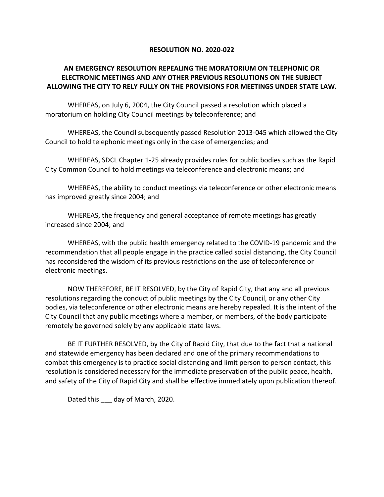## **RESOLUTION NO. 2020-022**

## **AN EMERGENCY RESOLUTION REPEALING THE MORATORIUM ON TELEPHONIC OR ELECTRONIC MEETINGS AND ANY OTHER PREVIOUS RESOLUTIONS ON THE SUBJECT ALLOWING THE CITY TO RELY FULLY ON THE PROVISIONS FOR MEETINGS UNDER STATE LAW.**

WHEREAS, on July 6, 2004, the City Council passed a resolution which placed a moratorium on holding City Council meetings by teleconference; and

WHEREAS, the Council subsequently passed Resolution 2013-045 which allowed the City Council to hold telephonic meetings only in the case of emergencies; and

WHEREAS, SDCL Chapter 1-25 already provides rules for public bodies such as the Rapid City Common Council to hold meetings via teleconference and electronic means; and

WHEREAS, the ability to conduct meetings via teleconference or other electronic means has improved greatly since 2004; and

WHEREAS, the frequency and general acceptance of remote meetings has greatly increased since 2004; and

WHEREAS, with the public health emergency related to the COVID-19 pandemic and the recommendation that all people engage in the practice called social distancing, the City Council has reconsidered the wisdom of its previous restrictions on the use of teleconference or electronic meetings.

NOW THEREFORE, BE IT RESOLVED, by the City of Rapid City, that any and all previous resolutions regarding the conduct of public meetings by the City Council, or any other City bodies, via teleconference or other electronic means are hereby repealed. It is the intent of the City Council that any public meetings where a member, or members, of the body participate remotely be governed solely by any applicable state laws.

BE IT FURTHER RESOLVED, by the City of Rapid City, that due to the fact that a national and statewide emergency has been declared and one of the primary recommendations to combat this emergency is to practice social distancing and limit person to person contact, this resolution is considered necessary for the immediate preservation of the public peace, health, and safety of the City of Rapid City and shall be effective immediately upon publication thereof.

Dated this \_\_\_ day of March, 2020.